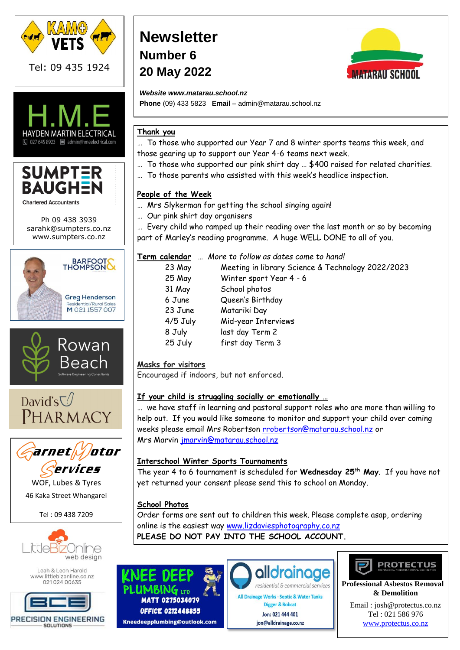





Ph 09 438 3939 [sarahk@sumpters.co.nz](mailto:sarahk@sumpters.co.nz) www.sumpters.co.nz









WOF, Lubes & Tyres 46 Kaka Street Whangarei

Tel : 09 438 7209



Leah & Leon Harold www.littlebizonline.co.nz 02102400635



# **Newsletter Number 6 20 May 2022**



*Website www.matarau.school.nz*

**Phone** (09) 433 5823 **Email** – admin@matarau.school.nz

## **Thank you**

… To those who supported our Year 7 and 8 winter sports teams this week, and those gearing up to support our Year 4-6 teams next week.

- … To those who supported our pink shirt day … \$400 raised for related charities.
- … To those parents who assisted with this week's headlice inspection.

## **People of the Week**

- … Mrs Slykerman for getting the school singing again!
- … Our pink shirt day organisers

… Every child who ramped up their reading over the last month or so by becoming part of Marley's reading programme. A huge WELL DONE to all of you.

| Term calendar | More to follow as dates come to hand!             |
|---------------|---------------------------------------------------|
| 23 May        | Meeting in library Science & Technology 2022/2023 |
| 25 May        | Winter sport Year 4 - 6                           |
| 31 May        | School photos                                     |
| 6 June        | Queen's Birthday                                  |
| 23 June       | Matariki Day                                      |
| $4/5$ July    | Mid-year Interviews                               |
| 8 July        | last day Term 2                                   |
| 25 July       | first day Term 3                                  |
|               |                                                   |

# **Masks for visitors**

Encouraged if indoors, but not enforced.

## **If your child is struggling socially or emotionally …**

… we have staff in learning and pastoral support roles who are more than willing to help out. If you would like someone to monitor and support your child over coming weeks please email Mrs Robertson [rrobertson@matarau.school.nz](mailto:rrobertson@matarau.school.nz) or Mrs Marvin [jmarvin@matarau.school.nz](mailto:jmarvin@matarau.school.nz)

## **Interschool Winter Sports Tournaments**

The year 4 to 6 tournament is scheduled for **Wednesday 25th May**. If you have not yet returned your consent please send this to school on Monday.

# **School Photos**

Order forms are sent out to children this week. Please complete asap, ordering online is the easiest way [www.lizdaviesphotography.co.nz](http://www.lizdaviesphotography.co.nz/) **PLEASE DO NOT PAY INTO THE SCHOOL ACCOUNT.**

 $\mathsf{BING}$  its **MATT 0275034079 OFFICE 0212448855** Kneedeepplumbing@outlook.com



All Drainage Works · Septic & Water Tanks Digger & Bobcat Jon: 021 444 401 jon@alldrainage.co.nz



 **Professional Asbestos Removal & Demolition**

Email [: josh@protectus.co.nz](mailto:josh@protectus.co.nz) Tel : 021 586 976 [www.protectus.co.nz](http://www.protectus.co.nz/)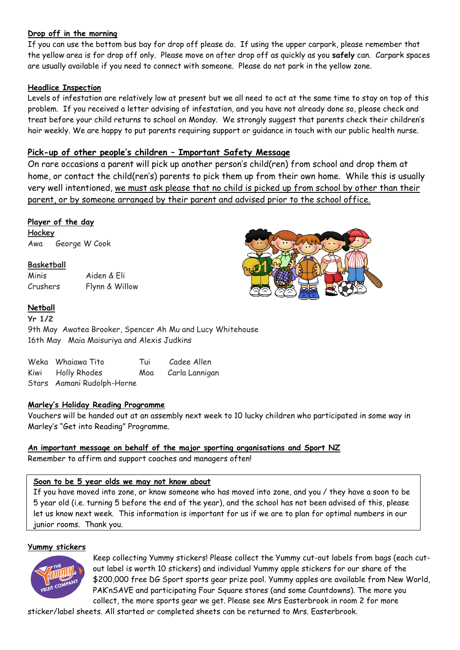## **Drop off in the morning**

If you can use the bottom bus bay for drop off please do. If using the upper carpark, please remember that the yellow area is for drop off only. Please move on after drop off as quickly as you **safely** can. Carpark spaces are usually available if you need to connect with someone. Please do not park in the yellow zone.

## **Headlice Inspection**

Levels of infestation are relatively low at present but we all need to act at the same time to stay on top of this problem. If you received a letter advising of infestation, and you have not already done so, please check and treat before your child returns to school on Monday. We strongly suggest that parents check their children's hair weekly. We are happy to put parents requiring support or guidance in touch with our public health nurse.

## **Pick-up of other people's children – Important Safety Message**

On rare occasions a parent will pick up another person's child(ren) from school and drop them at home, or contact the child(ren's) parents to pick them up from their own home. While this is usually very well intentioned, we must ask please that no child is picked up from school by other than their parent, or by someone arranged by their parent and advised prior to the school office.

## **Player of the day**

**Hockey** Awa George W Cook

## **Basketball**

Minis Aiden & Eli Crushers Flynn & Willow

## **Netball**

**Yr 1/2** 9th May Awatea Brooker, Spencer Ah Mu and Lucy Whitehouse 16th May Maia Maisuriya and Alexis Judkins

| Weka Whaiawa Tito          | Tui | Cadee Allen    |
|----------------------------|-----|----------------|
| Kiwi Holly Rhodes          | Moa | Carla Lannigan |
| Stars Aamani Rudolph-Horne |     |                |

## **Marley's Holiday Reading Programme**

Vouchers will be handed out at an assembly next week to 10 lucky children who participated in some way in Marley's "Get into Reading" Programme.

## **An important message on behalf of the major sporting organisations and Sport NZ**

Remember to affirm and support coaches and managers often!

## **Soon to be 5 year olds we may not know about**

If you have moved into zone, or know someone who has moved into zone, and you / they have a soon to be 5 year old (i.e. turning 5 before the end of the year), and the school has not been advised of this, please let us know next week. This information is important for us if we are to plan for optimal numbers in our junior rooms. Thank you.

## **Yummy stickers**



Keep collecting Yummy stickers! Please collect the Yummy cut-out labels from bags (each cutout label is worth 10 stickers) and individual Yummy apple stickers for our share of the \$200,000 free DG Sport sports gear prize pool. Yummy apples are available from New World, PAK'nSAVE and participating Four Square stores (and some Countdowns). The more you collect, the more sports gear we get. Please see Mrs Easterbrook in room 2 for more

sticker/label sheets. All started or completed sheets can be returned to Mrs. Easterbrook.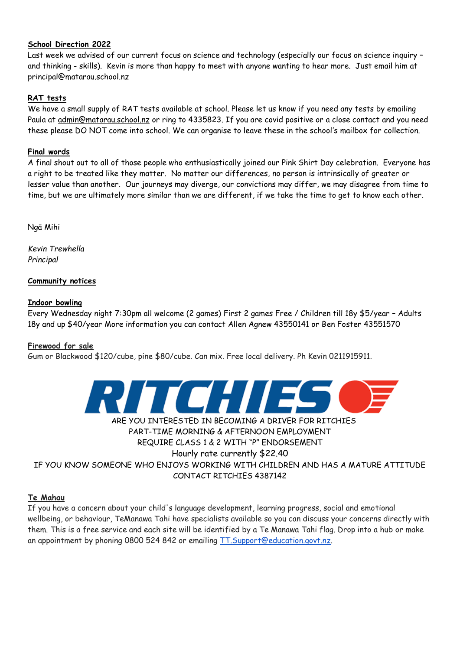## **School Direction 2022**

Last week we advised of our current focus on science and technology (especially our focus on science inquiry – and thinking - skills). Kevin is more than happy to meet with anyone wanting to hear more. Just email him at principal@matarau.school.nz

## **RAT tests**

We have a small supply of RAT tests available at school. Please let us know if you need any tests by emailing Paula at [admin@matarau.school.nz](mailto:admin@matarau.school.nz) or ring to 4335823. If you are covid positive or a close contact and you need these please DO NOT come into school. We can organise to leave these in the school's mailbox for collection.

## **Final words**

A final shout out to all of those people who enthusiastically joined our Pink Shirt Day celebration. Everyone has a right to be treated like they matter. No matter our differences, no person is intrinsically of greater or lesser value than another. Our journeys may diverge, our convictions may differ, we may disagree from time to time, but we are ultimately more similar than we are different, if we take the time to get to know each other.

Ngā Mihi

*Kevin Trewhella Principal*

## **Community notices**

#### **Indoor bowling**

Every Wednesday night 7:30pm all welcome (2 games) First 2 games Free / Children till 18y \$5/year – Adults 18y and up \$40/year More information you can contact Allen Agnew 43550141 or Ben Foster 43551570

## **Firewood for sale**

Gum or Blackwood \$120/cube, pine \$80/cube. Can mix. Free local delivery. Ph Kevin 0211915911.



# ARE YOU INTERESTED IN BECOMING A DRIVER FOR RITCHIES PART-TIME MORNING & AFTERNOON EMPLOYMENT REQUIRE CLASS 1 & 2 WITH "P" ENDORSEMENT Hourly rate currently \$22.40

IF YOU KNOW SOMEONE WHO ENJOYS WORKING WITH CHILDREN AND HAS A MATURE ATTITUDE CONTACT RITCHIES 4387142

## **Te Mahau**

If you have a concern about your child's language development, learning progress, social and emotional wellbeing, or behaviour, TeManawa Tahi have specialists available so you can discuss your concerns directly with them. This is a free service and each site will be identified by a Te Manawa Tahi flag. Drop into a hub or make an appointment by phoning 0800 524 842 or emailing [TT.Support@education.govt.nz.](mailto:TT.Support@education.govt.nz)